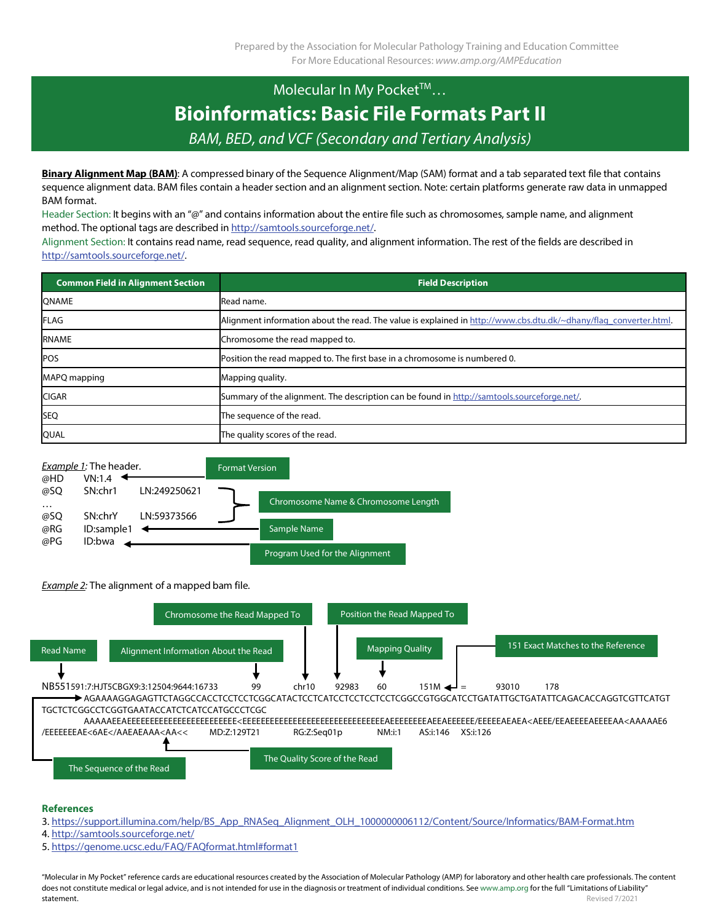## Molecular In My Pocket™... **Bioinformatics: Basic File Formats Part II** *BAM, BED, and VCF (Secondary and Tertiary Analysis)*

**Binary Alignment Map (BAM)**: A compressed binary of the Sequence Alignment/Map (SAM) format and a tab separated text file that contains sequence alignment data. BAM files contain a header section and an alignment section. Note: certain platforms generate raw data in unmapped BAM format.

Header Section: It begins with an "@" and contains information about the entire file such as chromosomes, sample name, and alignment method. The optional tags are described i[n http://samtools.sourceforge.net/.](http://samtools.sourceforge.net/)

Alignment Section: It contains read name, read sequence, read quality, and alignment information. The rest of the fields are described in [http://samtools.sourceforge.net/.](http://samtools.sourceforge.net/)

| <b>Common Field in Alignment Section</b> | <b>Field Description</b>                                                                                          |  |  |
|------------------------------------------|-------------------------------------------------------------------------------------------------------------------|--|--|
| <b>QNAME</b>                             | Read name.                                                                                                        |  |  |
| <b>FLAG</b>                              | Alignment information about the read. The value is explained in http://www.cbs.dtu.dk/~dhany/flag_converter.html. |  |  |
| <b>RNAME</b>                             | Chromosome the read mapped to.                                                                                    |  |  |
| <b>POS</b>                               | Position the read mapped to. The first base in a chromosome is numbered 0.                                        |  |  |
| MAPQ mapping                             | Mapping quality.                                                                                                  |  |  |
| <b>CIGAR</b>                             | Summary of the alignment. The description can be found in http://samtools.sourceforge.net/.                       |  |  |
| <b>SEQ</b>                               | The sequence of the read.                                                                                         |  |  |
| <b>QUAL</b>                              | The quality scores of the read.                                                                                   |  |  |



*Example 2:* The alignment of a mapped bam file.



## **References**

- 3[. https://support.illumina.com/help/BS\\_App\\_RNASeq\\_Alignment\\_OLH\\_1000000006112/Content/Source/Informatics/BAM-Format.htm](https://support.illumina.com/help/BS_App_RNASeq_Alignment_OLH_1000000006112/Content/Source/Informatics/BAM-Format.htm)
- 4[. http://samtools.sourceforge.net/](http://samtools.sourceforge.net/)
- 5[. https://genome.ucsc.edu/FAQ/FAQformat.html#format1](https://genome.ucsc.edu/FAQ/FAQformat.html#format1)

"Molecular in My Pocket" reference cards are educational resources created by the Association of Molecular Pathology (AMP) for laboratory and other health care professionals. The content does not constitute medical or legal advice, and is not intended for use in the diagnosis or treatment of individual conditions. See www.amp.org for the full "Limitations of Liability" **statement.** Revised 7/2021